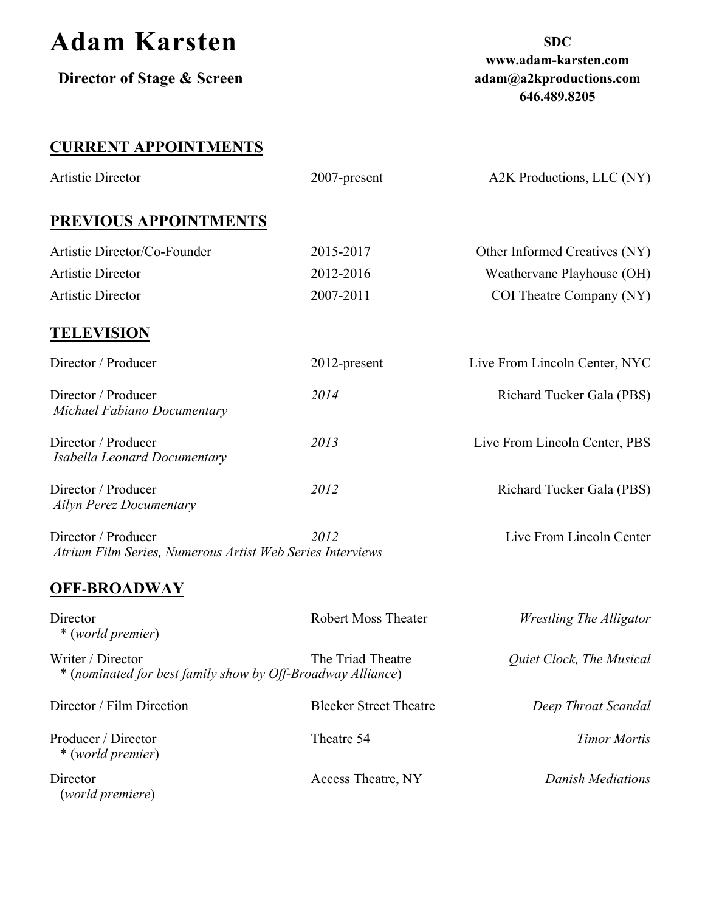| <b>Adam Karsten</b><br>Director of Stage & Screen                                |                            | <b>SDC</b><br>www.adam-karsten.com<br>adam@a2kproductions.com<br>646.489.8205 |
|----------------------------------------------------------------------------------|----------------------------|-------------------------------------------------------------------------------|
| <b>CURRENT APPOINTMENTS</b>                                                      |                            |                                                                               |
| Artistic Director                                                                | 2007-present               | A2K Productions, LLC (NY)                                                     |
| PREVIOUS APPOINTMENTS                                                            |                            |                                                                               |
| Artistic Director/Co-Founder                                                     | 2015-2017                  | Other Informed Creatives (NY)                                                 |
| <b>Artistic Director</b>                                                         | 2012-2016                  | Weathervane Playhouse (OH)                                                    |
| <b>Artistic Director</b>                                                         | 2007-2011                  | COI Theatre Company (NY)                                                      |
| <b>TELEVISION</b>                                                                |                            |                                                                               |
| Director / Producer                                                              | 2012-present               | Live From Lincoln Center, NYC                                                 |
| Director / Producer<br>Michael Fabiano Documentary                               | 2014                       | Richard Tucker Gala (PBS)                                                     |
| Director / Producer<br>Isabella Leonard Documentary                              | 2013                       | Live From Lincoln Center, PBS                                                 |
| Director / Producer<br><b>Ailyn Perez Documentary</b>                            | 2012                       | <b>Richard Tucker Gala (PBS)</b>                                              |
| Director / Producer<br>Atrium Film Series, Numerous Artist Web Series Interviews | 2012                       | Live From Lincoln Center                                                      |
| <b>OFF-BROADWAY</b>                                                              |                            |                                                                               |
| Director<br>* (world premier)                                                    | <b>Robert Moss Theater</b> | <b>Wrestling The Alligator</b>                                                |
| Writer / Director<br>* (nominated for best family show by Off-Broadway Alliance) | The Triad Theatre          | Quiet Clock, The Musical                                                      |

| Director / Film Direction                | <b>Bleeker Street Theatre</b> | Deep Throat Scandal |
|------------------------------------------|-------------------------------|---------------------|
| Producer / Director<br>* (world premier) | Theatre 54                    | Timor Mortis        |
| Director<br>(world premiere)             | Access Theatre, NY            | Danish Mediations   |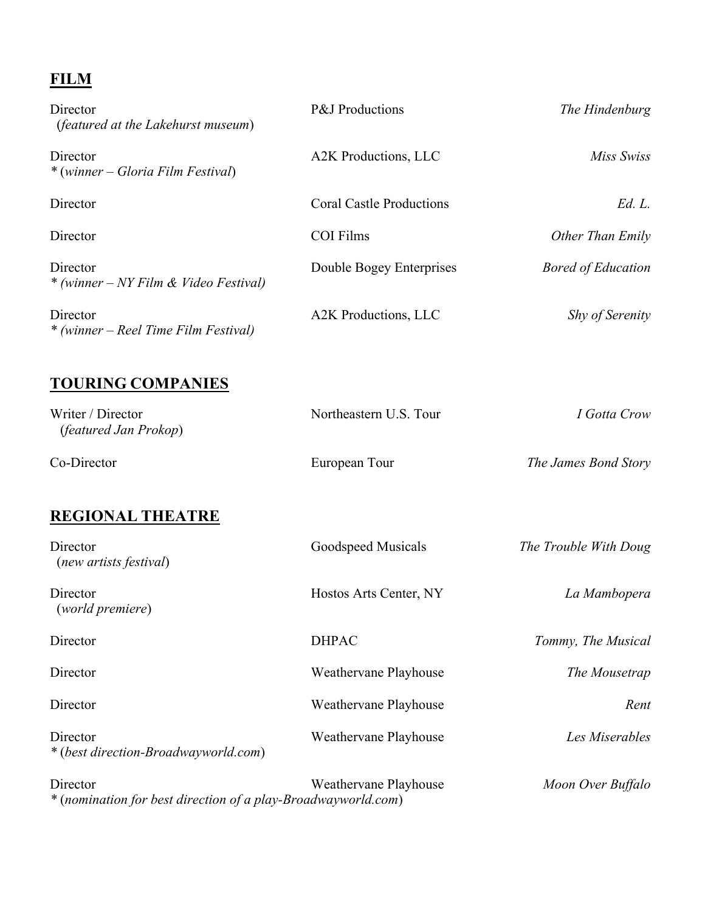# **FILM**

| Director<br><i>(featured at the Lakehurst museum)</i>                     | P&J Productions                 | The Hindenburg            |
|---------------------------------------------------------------------------|---------------------------------|---------------------------|
| Director<br>* (winner – Gloria Film Festival)                             | A2K Productions, LLC            | Miss Swiss                |
| Director                                                                  | <b>Coral Castle Productions</b> | Ed. L.                    |
| Director                                                                  | <b>COI Films</b>                | Other Than Emily          |
| Director<br>* (winner – NY Film & Video Festival)                         | Double Bogey Enterprises        | <b>Bored of Education</b> |
| Director<br>* (winner – Reel Time Film Festival)                          | A2K Productions, LLC            | <b>Shy of Serenity</b>    |
| <b>TOURING COMPANIES</b>                                                  |                                 |                           |
| Writer / Director<br>(featured Jan Prokop)                                | Northeastern U.S. Tour          | I Gotta Crow              |
| Co-Director                                                               | European Tour                   | The James Bond Story      |
| <b>REGIONAL THEATRE</b>                                                   |                                 |                           |
| Director<br>(new artists festival)                                        | Goodspeed Musicals              | The Trouble With Doug     |
| Director<br>(world premiere)                                              | Hostos Arts Center, NY          | La Mambopera              |
| Director                                                                  | <b>DHPAC</b>                    | Tommy, The Musical        |
| Director                                                                  | Weathervane Playhouse           | The Mousetrap             |
| Director                                                                  | Weathervane Playhouse           | Rent                      |
| Director<br>* (best direction-Broadwayworld.com)                          | Weathervane Playhouse           | Les Miserables            |
| Director<br>* (nomination for best direction of a play-Broadwayworld.com) | Weathervane Playhouse           | Moon Over Buffalo         |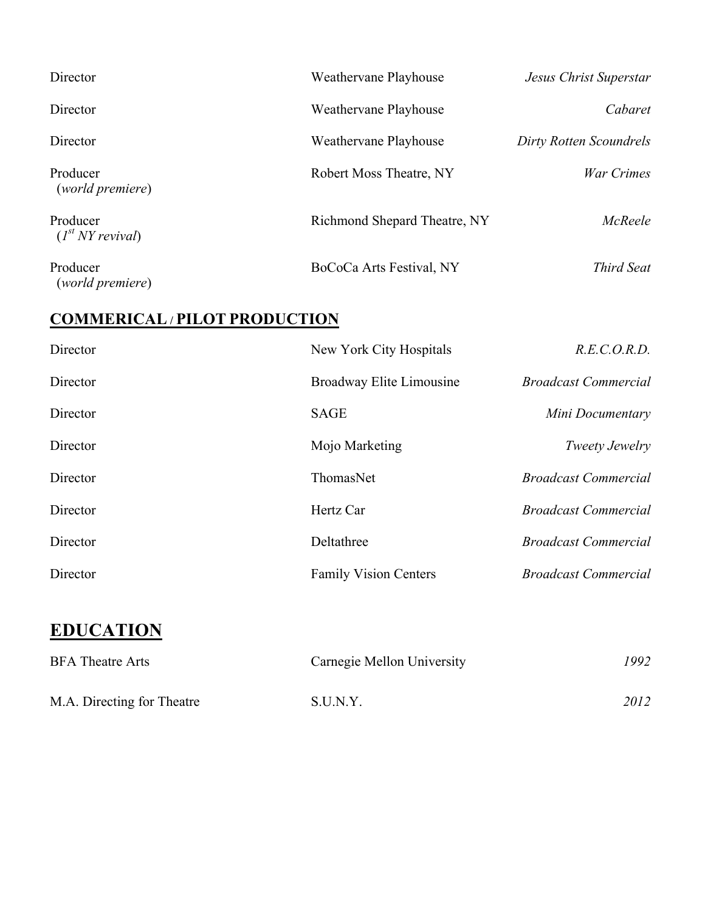| Director                          | Weathervane Playhouse        | Jesus Christ Superstar  |
|-----------------------------------|------------------------------|-------------------------|
| Director                          | Weathervane Playhouse        | Cabaret                 |
| Director                          | Weathervane Playhouse        | Dirty Rotten Scoundrels |
| Producer<br>(world premiere)      | Robert Moss Theatre, NY      | War Crimes              |
| Producer<br>$(I^{st} NY$ revival) | Richmond Shepard Theatre, NY | McReele                 |
| Producer<br>(world premiere)      | BoCoCa Arts Festival, NY     | Third Seat              |

#### **COMMERICAL / PILOT PRODUCTION**

| Director | New York City Hospitals      | R.E.C.O.R.D.                |
|----------|------------------------------|-----------------------------|
| Director | Broadway Elite Limousine     | <b>Broadcast Commercial</b> |
| Director | <b>SAGE</b>                  | Mini Documentary            |
| Director | Mojo Marketing               | Tweety Jewelry              |
| Director | ThomasNet                    | <b>Broadcast Commercial</b> |
| Director | Hertz Car                    | <b>Broadcast Commercial</b> |
| Director | Deltathree                   | <b>Broadcast Commercial</b> |
| Director | <b>Family Vision Centers</b> | <b>Broadcast Commercial</b> |

# **EDUCATION**

| <b>BFA</b> Theatre Arts    | Carnegie Mellon University | 1992 |
|----------------------------|----------------------------|------|
| M.A. Directing for Theatre | S.U.N.Y.                   | 2012 |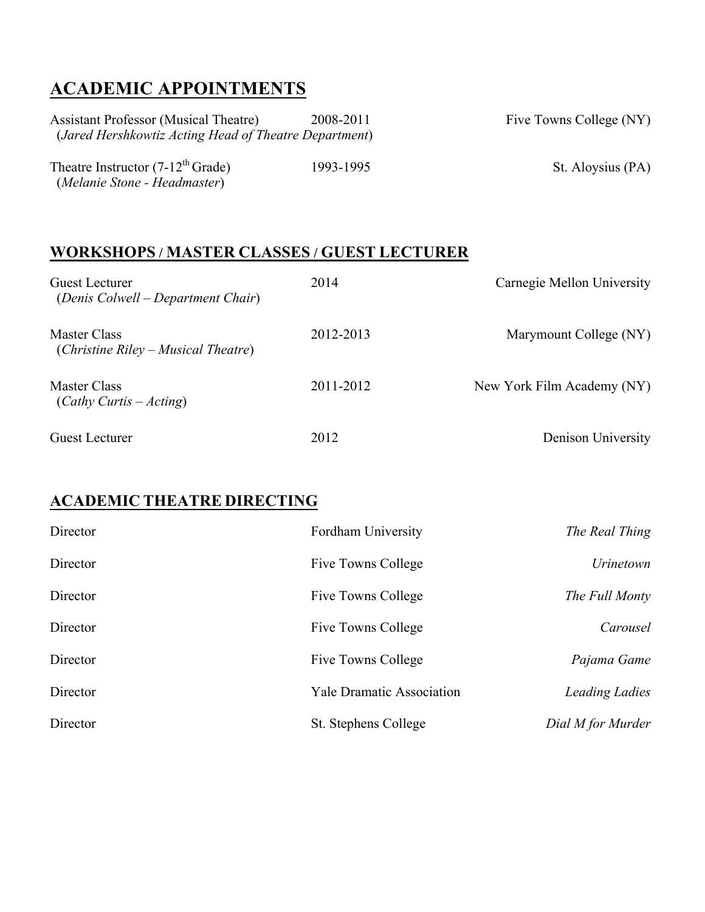## **ACADEMIC APPOINTMENTS**

| <b>Assistant Professor (Musical Theatre)</b>          | 2008-2011 | Five Towns College (NY) |
|-------------------------------------------------------|-----------|-------------------------|
| (Jared Hershkowtiz Acting Head of Theatre Department) |           |                         |
|                                                       |           |                         |
| Theatre Instructor $(7-12^{th}$ Grade)                | 1993-1995 | St. Aloysius (PA)       |
| (Melanie Stone - Headmaster)                          |           |                         |

#### **WORKSHOPS / MASTER CLASSES / GUEST LECTURER**

| Guest Lecturer<br>(Denis Colwell – Department Chair)  | 2014      | Carnegie Mellon University |
|-------------------------------------------------------|-----------|----------------------------|
| Master Class<br>$(Christine Riley - Musical Theatre)$ | 2012-2013 | Marymount College (NY)     |
| Master Class<br>$(Cathy Curtis - Acting)$             | 2011-2012 | New York Film Academy (NY) |
| <b>Guest Lecturer</b>                                 | 2012      | Denison University         |

#### **ACADEMIC THEATRE DIRECTING**

| Director | Fordham University               | The Real Thing        |
|----------|----------------------------------|-----------------------|
| Director | Five Towns College               | <i>Urinetown</i>      |
| Director | Five Towns College               | The Full Monty        |
| Director | Five Towns College               | Carousel              |
| Director | Five Towns College               | Pajama Game           |
| Director | <b>Yale Dramatic Association</b> | <b>Leading Ladies</b> |
| Director | St. Stephens College             | Dial M for Murder     |